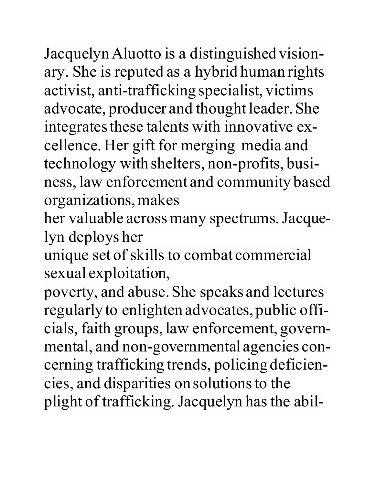JacquelynAluotto is a distinguished visionary. She is reputed as a hybrid human rights activist, anti-trafficking specialist, victims advocate, producer and thought leader. She integrates these talents with innovative excellence. Her gift for merging media and technology with shelters, non-profits, business, law enforcement and community based organizations,makes

her valuable across many spectrums. Jacquelyn deploys her

unique set of skills to combat commercial sexual exploitation,

poverty, and abuse. She speaks and lectures regularly to enlighten advocates, public officials, faith groups, law enforcement, governmental, and non-governmental agencies concerning trafficking trends, policing deficiencies, and disparities on solutionsto the plight of trafficking. Jacquelyn has the abil-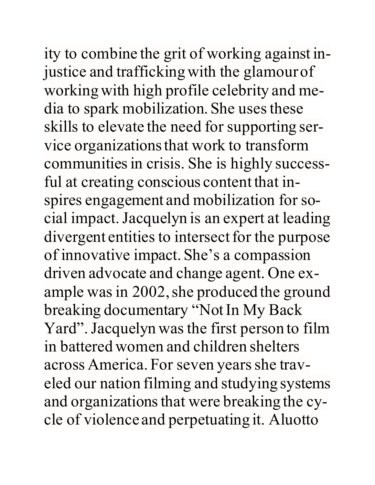ity to combine the grit of working against injustice and trafficking with the glamour of workingwith high profile celebrity and media to spark mobilization. She uses these skills to elevate the need for supporting service organizationsthat work to transform communities in crisis. She is highly successful at creating conscious content that inspires engagement and mobilization for social impact.Jacquelyn is an expert at leading divergent entities to intersect for the purpose of innovative impact. She's a compassion driven advocate and change agent. One example was in 2002, she produced the ground breaking documentary "NotIn My Back Yard". Jacquelyn was the first person to film in battered women and children shelters across America. For seven years she traveled our nation filming and studying systems and organizations that were breaking the cycle of violence and perpetuating it. Aluotto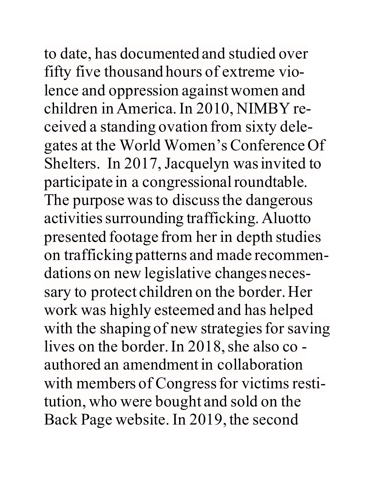to date, has documented and studied over fifty five thousand hours of extreme violence and oppression against women and children in America.In 2010, NIMBY received a standing ovation from sixty delegates at the World Women'sConference Of Shelters. In 2017, Jacquelyn was invited to participate in a congressional roundtable. The purpose was to discuss the dangerous activities surrounding trafficking. Aluotto presented footage from her in depth studies on trafficking patterns and made recommendations on new legislative changes necessary to protect children on the border. Her work was highly esteemed and has helped with the shaping of new strategies for saving lives on the border. In 2018, she also co authored an amendment in collaboration with members of Congress for victims restitution, who were bought and sold on the Back Page website. In 2019, the second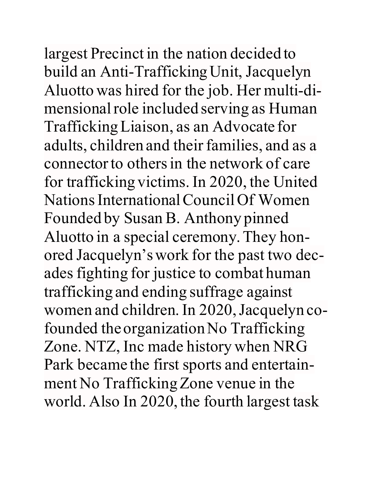largest Precinct in the nation decided to build an Anti-TraffickingUnit, Jacquelyn Aluotto was hired for the job. Her multi-dimensional role included serving as Human TraffickingLiaison, as an Advocate for adults, children and their families, and as a connector to others in the network of care for trafficking victims. In 2020, the United NationsInternationalCouncil Of Women Founded by Susan B. Anthony pinned Aluotto in a special ceremony.They honored Jacquelyn'swork for the past two decades fighting for justice to combat human trafficking and ending suffrage against women and children. In 2020, Jacquelyn cofounded the organization No Trafficking Zone. NTZ, Inc made history when NRG Park became the first sports and entertainment No Trafficking Zone venue in the world. Also In 2020, the fourth largest task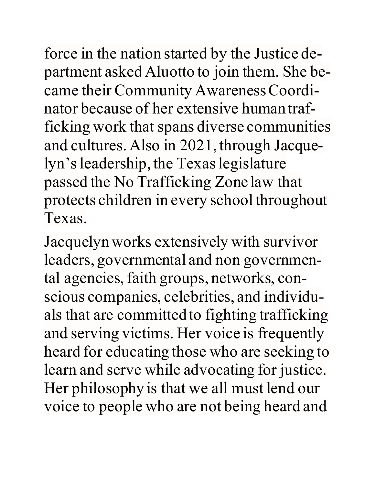force in the nation started by the Justice department asked Aluotto to join them. She became their Community Awareness Coordinator because of her extensive human trafficking work that spans diverse communities and cultures.Also in 2021, through Jacquelyn's leadership, the Texas legislature passed the No Trafficking Zone law that protects children in every school throughout Texas.

Jacquelynworks extensively with survivor leaders, governmental and non governmental agencies, faith groups, networks, conscious companies, celebrities, and individuals that are committed to fighting trafficking and serving victims. Her voice is frequently heard for educating those who are seeking to learn and serve while advocating for justice. Her philosophy is that we all must lend our voice to people who are not being heard and